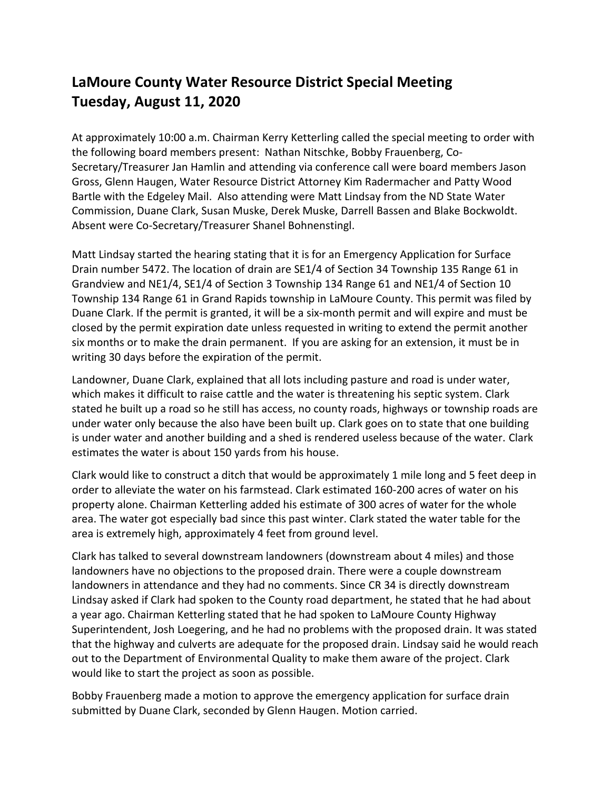## **LaMoure County Water Resource District Special Meeting Tuesday, August 11, 2020**

At approximately 10:00 a.m. Chairman Kerry Ketterling called the special meeting to order with the following board members present: Nathan Nitschke, Bobby Frauenberg, Co-Secretary/Treasurer Jan Hamlin and attending via conference call were board members Jason Gross, Glenn Haugen, Water Resource District Attorney Kim Radermacher and Patty Wood Bartle with the Edgeley Mail. Also attending were Matt Lindsay from the ND State Water Commission, Duane Clark, Susan Muske, Derek Muske, Darrell Bassen and Blake Bockwoldt. Absent were Co-Secretary/Treasurer Shanel Bohnenstingl.

Matt Lindsay started the hearing stating that it is for an Emergency Application for Surface Drain number 5472. The location of drain are SE1/4 of Section 34 Township 135 Range 61 in Grandview and NE1/4, SE1/4 of Section 3 Township 134 Range 61 and NE1/4 of Section 10 Township 134 Range 61 in Grand Rapids township in LaMoure County. This permit was filed by Duane Clark. If the permit is granted, it will be a six-month permit and will expire and must be closed by the permit expiration date unless requested in writing to extend the permit another six months or to make the drain permanent. If you are asking for an extension, it must be in writing 30 days before the expiration of the permit.

Landowner, Duane Clark, explained that all lots including pasture and road is under water, which makes it difficult to raise cattle and the water is threatening his septic system. Clark stated he built up a road so he still has access, no county roads, highways or township roads are under water only because the also have been built up. Clark goes on to state that one building is under water and another building and a shed is rendered useless because of the water. Clark estimates the water is about 150 yards from his house.

Clark would like to construct a ditch that would be approximately 1 mile long and 5 feet deep in order to alleviate the water on his farmstead. Clark estimated 160-200 acres of water on his property alone. Chairman Ketterling added his estimate of 300 acres of water for the whole area. The water got especially bad since this past winter. Clark stated the water table for the area is extremely high, approximately 4 feet from ground level.

Clark has talked to several downstream landowners (downstream about 4 miles) and those landowners have no objections to the proposed drain. There were a couple downstream landowners in attendance and they had no comments. Since CR 34 is directly downstream Lindsay asked if Clark had spoken to the County road department, he stated that he had about a year ago. Chairman Ketterling stated that he had spoken to LaMoure County Highway Superintendent, Josh Loegering, and he had no problems with the proposed drain. It was stated that the highway and culverts are adequate for the proposed drain. Lindsay said he would reach out to the Department of Environmental Quality to make them aware of the project. Clark would like to start the project as soon as possible.

Bobby Frauenberg made a motion to approve the emergency application for surface drain submitted by Duane Clark, seconded by Glenn Haugen. Motion carried.